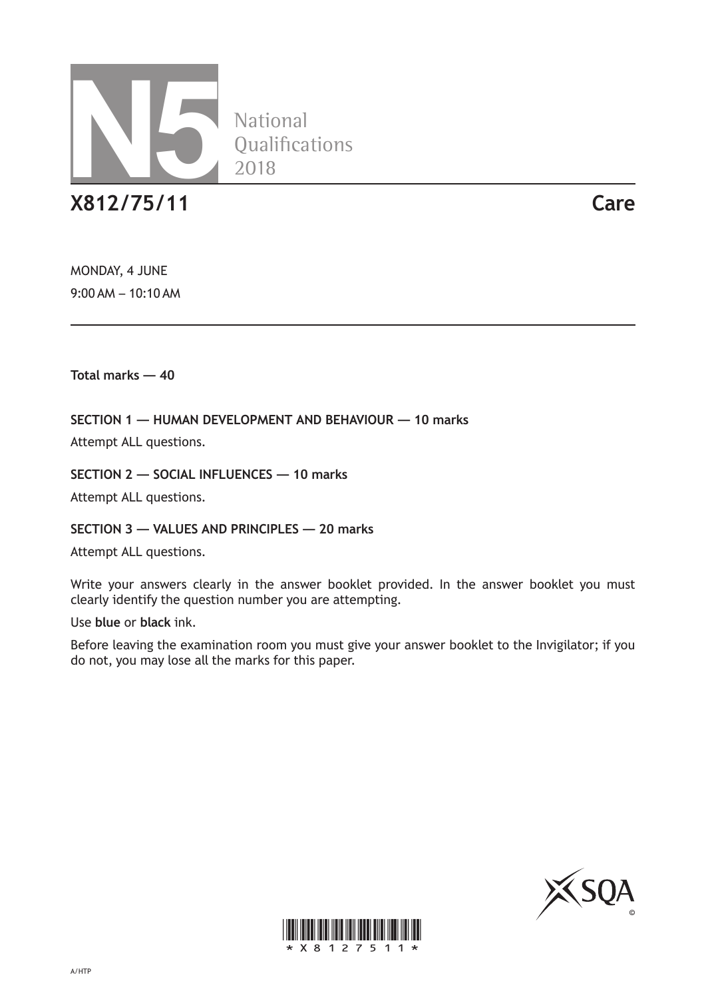

**National** Qualifications 2018

**X812/75/11 Care**

MONDAY, 4 JUNE 9:00 AM – 10:10 AM

**Total marks — 40**

**SECTION 1 — HUMAN DEVELOPMENT AND BEHAVIOUR — 10 marks**

Attempt ALL questions.

**SECTION 2 — SOCIAL INFLUENCES — 10 marks**

Attempt ALL questions.

**SECTION 3 — VALUES AND PRINCIPLES — 20 marks**

Attempt ALL questions.

Write your answers clearly in the answer booklet provided. In the answer booklet you must clearly identify the question number you are attempting.

Use **blue** or **black** ink.

Before leaving the examination room you must give your answer booklet to the Invigilator; if you do not, you may lose all the marks for this paper.



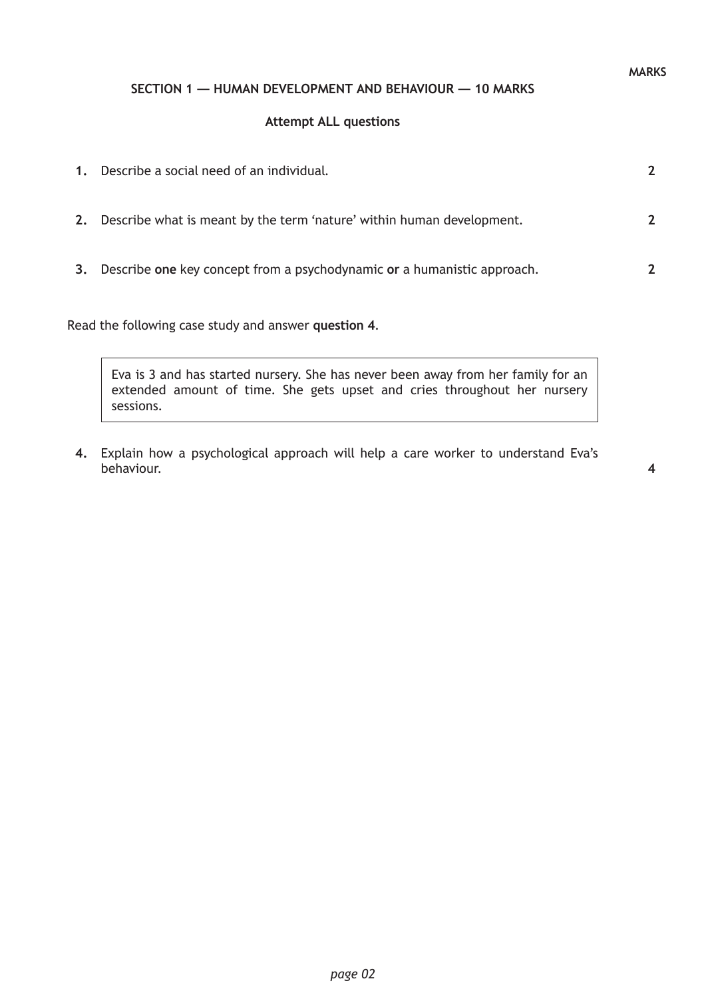## **SECTION 1 — HUMAN DEVELOPMENT AND BEHAVIOUR — 10 MARKS**

#### **Attempt ALL questions**

| $\mathbf{1}$ . | Describe a social need of an individual.                                | $\boldsymbol{\mathcal{P}}$ |
|----------------|-------------------------------------------------------------------------|----------------------------|
| 2.             | Describe what is meant by the term 'nature' within human development.   | $\mathcal{P}$              |
| 3.             | Describe one key concept from a psychodynamic or a humanistic approach. | $\mathcal{P}$              |

Read the following case study and answer **question 4**.

Eva is 3 and has started nursery. She has never been away from her family for an extended amount of time. She gets upset and cries throughout her nursery sessions.

**4.** Explain how a psychological approach will help a care worker to understand Eva's behaviour.

**MARKS**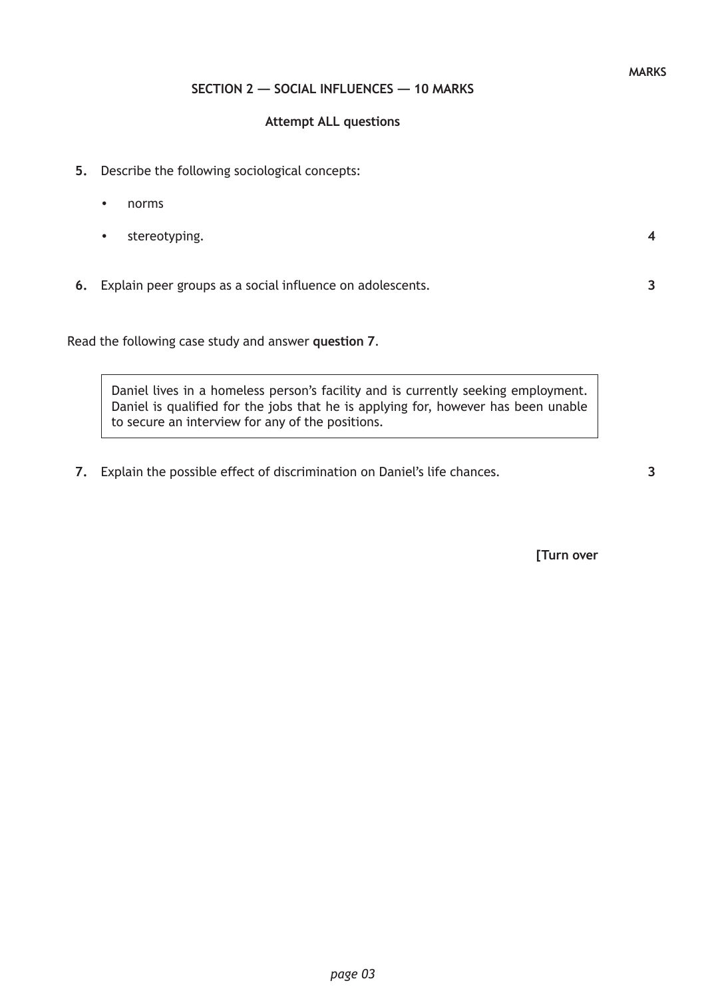# **SECTION 2 — SOCIAL INFLUENCES — 10 MARKS**

### **Attempt ALL questions**

- **5.** Describe the following sociological concepts:
	- norms
	- stereotyping.
- **6.** Explain peer groups as a social influence on adolescents.

Read the following case study and answer **question 7**.

Daniel lives in a homeless person's facility and is currently seeking employment. Daniel is qualified for the jobs that he is applying for, however has been unable to secure an interview for any of the positions.

**7.** Explain the possible effect of discrimination on Daniel's life chances.

**[Turn over**

**4**

**3**